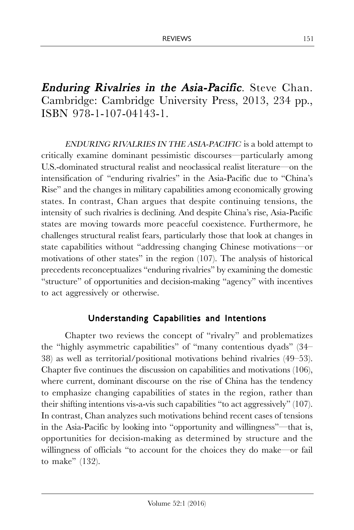**Enduring Rivalries in the Asia-Pacific.** Steve Chan. Cambridge: Cambridge University Press, 2013, 234 pp., ISBN 978-1-107-04143-1.

ENDURING RIVALRIES IN THE ASIA-PACIFIC is a bold attempt to critically examine dominant pessimistic discourses—particularly among U.S.-dominated structural realist and neoclassical realist literature—on the intensification of "enduring rivalries" in the Asia-Pacific due to "China's Rise" and the changes in military capabilities among economically growing states. In contrast, Chan argues that despite continuing tensions, the intensity of such rivalries is declining. And despite China's rise, Asia-Pacific states are moving towards more peaceful coexistence. Furthermore, he challenges structural realist fears, particularly those that look at changes in state capabilities without "addressing changing Chinese motivations—or motivations of other states" in the region (107). The analysis of historical precedents reconceptualizes "enduring rivalries" by examining the domestic "structure" of opportunities and decision-making "agency" with incentives to act aggressively or otherwise.

## Understanding Capabilities and Intentions

Chapter two reviews the concept of "rivalry" and problematizes the "highly asymmetric capabilities" of "many contentious dyads" (34– 38) as well as territorial/positional motivations behind rivalries (49–53). Chapter five continues the discussion on capabilities and motivations (106), where current, dominant discourse on the rise of China has the tendency to emphasize changing capabilities of states in the region, rather than their shifting intentions vis-a-vis such capabilities "to act aggressively" (107). In contrast, Chan analyzes such motivations behind recent cases of tensions in the Asia-Pacific by looking into "opportunity and willingness"—that is, opportunities for decision-making as determined by structure and the willingness of officials "to account for the choices they do make—or fail to make" (132).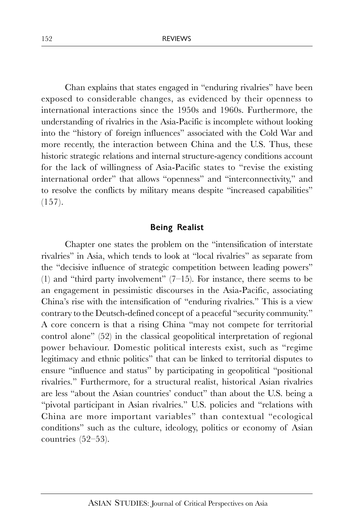Chan explains that states engaged in "enduring rivalries" have been exposed to considerable changes, as evidenced by their openness to international interactions since the 1950s and 1960s. Furthermore, the understanding of rivalries in the Asia-Pacific is incomplete without looking into the "history of foreign influences" associated with the Cold War and more recently, the interaction between China and the U.S. Thus, these historic strategic relations and internal structure-agency conditions account for the lack of willingness of Asia-Pacific states to "revise the existing international order" that allows "openness" and "interconnectivity," and to resolve the conflicts by military means despite "increased capabilities"  $(157)$ .

## Being Realist

Chapter one states the problem on the "intensification of interstate rivalries" in Asia, which tends to look at "local rivalries" as separate from the "decisive influence of strategic competition between leading powers" (1) and "third party involvement"  $(7-15)$ . For instance, there seems to be an engagement in pessimistic discourses in the Asia-Pacific, associating China's rise with the intensification of "enduring rivalries." This is a view contrary to the Deutsch-defined concept of a peaceful "security community." A core concern is that a rising China "may not compete for territorial control alone" (52) in the classical geopolitical interpretation of regional power behaviour. Domestic political interests exist, such as "regime legitimacy and ethnic politics" that can be linked to territorial disputes to ensure "influence and status" by participating in geopolitical "positional rivalries." Furthermore, for a structural realist, historical Asian rivalries are less "about the Asian countries' conduct" than about the U.S. being a "pivotal participant in Asian rivalries." U.S. policies and "relations with China are more important variables" than contextual "ecological conditions" such as the culture, ideology, politics or economy of Asian countries (52–53).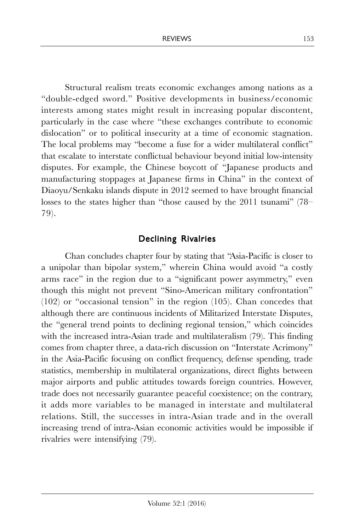Structural realism treats economic exchanges among nations as a "double-edged sword." Positive developments in business/economic interests among states might result in increasing popular discontent, particularly in the case where "these exchanges contribute to economic dislocation" or to political insecurity at a time of economic stagnation. The local problems may "become a fuse for a wider multilateral conflict" that escalate to interstate conflictual behaviour beyond initial low-intensity disputes. For example, the Chinese boycott of "Japanese products and manufacturing stoppages at Japanese firms in China" in the context of Diaoyu/Senkaku islands dispute in 2012 seemed to have brought financial losses to the states higher than "those caused by the 2011 tsunami" (78– 79).

## Declining Rivalries

Chan concludes chapter four by stating that "Asia-Pacific is closer to a unipolar than bipolar system," wherein China would avoid "a costly arms race" in the region due to a "significant power asymmetry," even though this might not prevent "Sino-American military confrontation" (102) or "occasional tension" in the region (105). Chan concedes that although there are continuous incidents of Militarized Interstate Disputes, the "general trend points to declining regional tension," which coincides with the increased intra-Asian trade and multilateralism (79). This finding comes from chapter three, a data-rich discussion on "Interstate Acrimony" in the Asia-Pacific focusing on conflict frequency, defense spending, trade statistics, membership in multilateral organizations, direct flights between major airports and public attitudes towards foreign countries. However, trade does not necessarily guarantee peaceful coexistence; on the contrary, it adds more variables to be managed in interstate and multilateral relations. Still, the successes in intra-Asian trade and in the overall increasing trend of intra-Asian economic activities would be impossible if rivalries were intensifying (79).